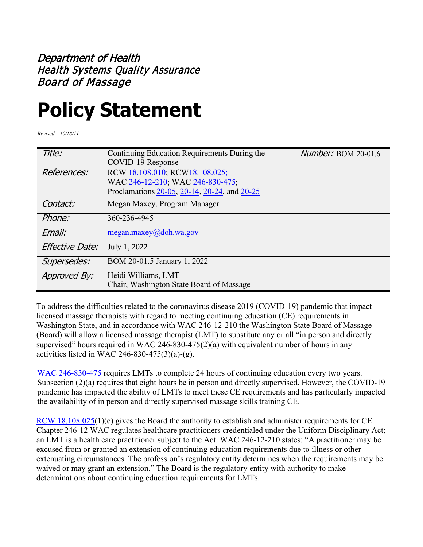## Department of Health Health Systems Quality Assurance Board of Massage

## **Policy Statement**

*Revised – 10/18/11*

| Title:          | Continuing Education Requirements During the | <b>Number: BOM 20-01.6</b> |
|-----------------|----------------------------------------------|----------------------------|
|                 | COVID-19 Response                            |                            |
| References:     | RCW 18.108.010; RCW18.108.025;               |                            |
|                 | WAC 246-12-210; WAC 246-830-475;             |                            |
|                 | Proclamations 20-05, 20-14, 20-24, and 20-25 |                            |
| Contact:        | Megan Maxey, Program Manager                 |                            |
| Phone:          | 360-236-4945                                 |                            |
| Email:          | megan.maxey@doh.wa.gov                       |                            |
| Effective Date: | July 1, 2022                                 |                            |
| Supersedes:     | BOM 20-01.5 January 1, 2022                  |                            |
| Approved By:    | Heidi Williams, LMT                          |                            |
|                 | Chair, Washington State Board of Massage     |                            |

To address the difficulties related to the coronavirus disease 2019 (COVID-19) pandemic that impact licensed massage therapists with regard to meeting continuing education (CE) requirements in Washington State, and in accordance with WAC 246-12-210 the Washington State Board of Massage (Board) will allow a licensed massage therapist (LMT) to substitute any or all "in person and directly supervised" hours required in WAC 246-830-475 $(2)(a)$  with equivalent number of hours in any activities listed in WAC 246-830-475 $(3)(a)-(g)$ .

[WAC 246-830-475](https://app.leg.wa.gov/wac/default.aspx?cite=246-830-475) requires LMTs to complete 24 hours of continuing education every two years. Subsection (2)(a) requires that eight hours be in person and directly supervised. However, the COVID-19 pandemic has impacted the ability of LMTs to meet these CE requirements and has particularly impacted the availability of in person and directly supervised massage skills training CE.

[RCW 18.108.025\(](https://app.leg.wa.gov/RCW/default.aspx?cite=18.108.025)1)(e) gives the Board the authority to establish and administer requirements for CE. Chapter 246-12 WAC regulates healthcare practitioners credentialed under the Uniform Disciplinary Act; an LMT is a health care practitioner subject to the Act. WAC 246-12-210 states: "A practitioner may be excused from or granted an extension of continuing education requirements due to illness or other extenuating circumstances. The profession's regulatory entity determines when the requirements may be waived or may grant an extension." The Board is the regulatory entity with authority to make determinations about continuing education requirements for LMTs.